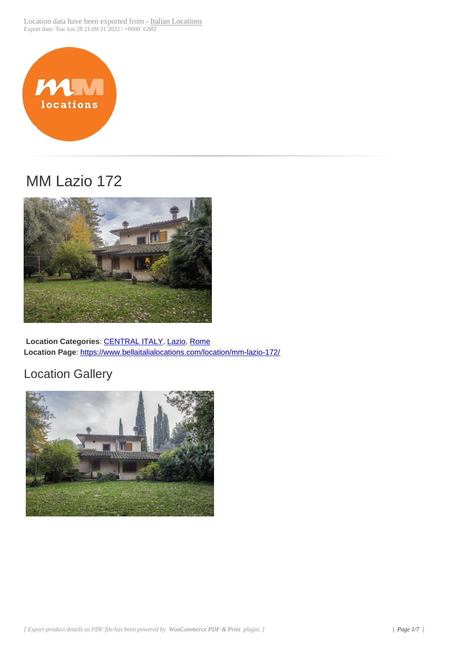

## MM Lazio 172



**Location Categories**: CENTRAL ITALY, Lazio, Rome **Location Page**: https://www.bellaitalialocations.com/location/mm-lazio-172/

## Location Galle[ry](https://www.bellaitalialocations.com/location-category/central-italy/)

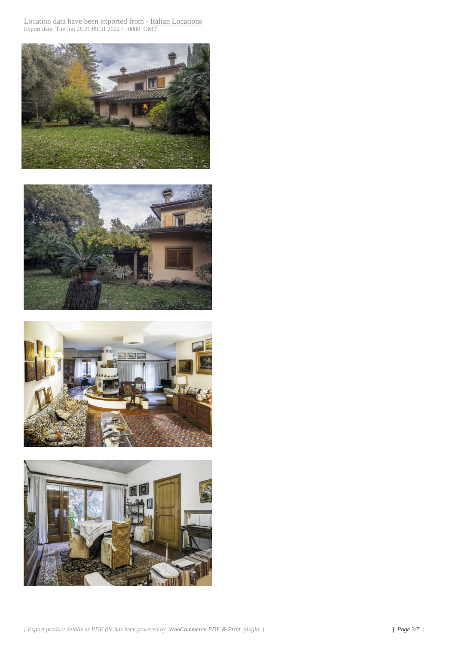





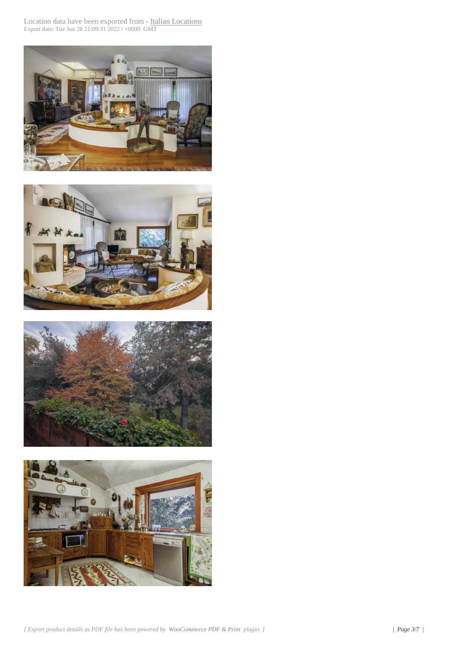





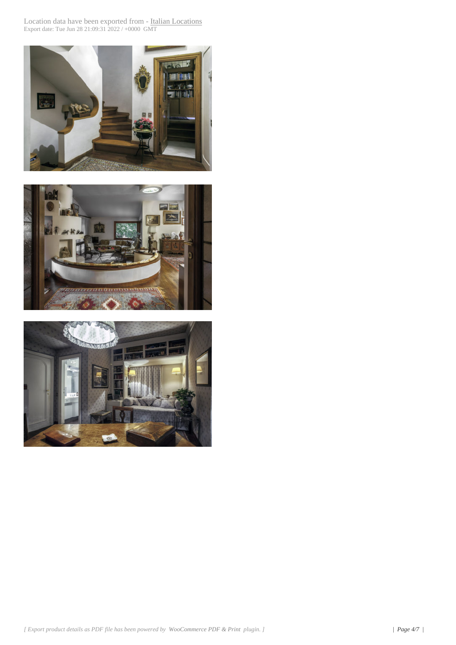



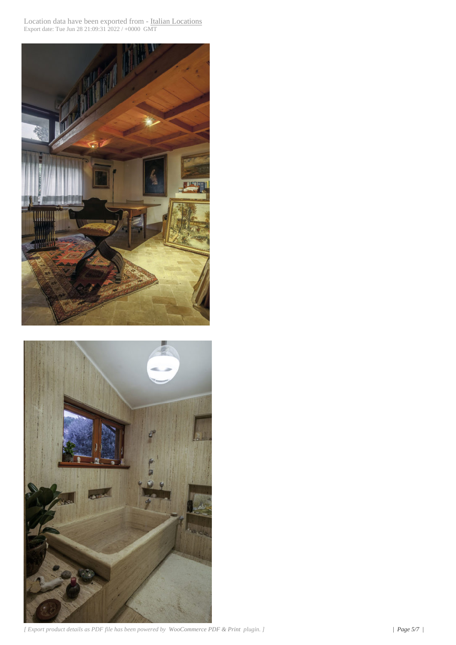



*[ Export product details as PDF file has been powered by WooCommerce PDF & Print plugin. ] | Page 5/7 |*